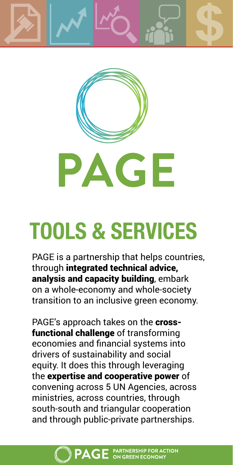



## TOOLS & SERVICES

PAGE is a partnership that helps countries, through integrated technical advice. analysis and capacity building, embark on a whole-economy and whole-society transition to an inclusive green economy.

PAGE's approach takes on the **cross**functional challenge of transforming economies and financial systems into drivers of sustainability and social equity. It does this through leveraging the expertise and cooperative power of convening across 5 UN Agencies, across ministries, across countries, through south-south and triangular cooperation and through public-private partnerships.

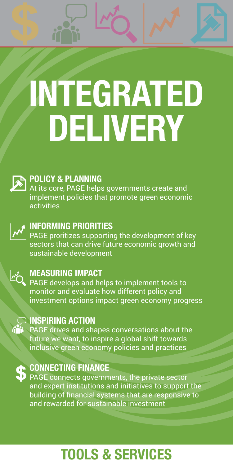## INTEGRATED DELIVERY



### POLICY & PLANNING

At its core, PAGE helps governments create and implement policies that promote green economic activities



### INFORMING PRIORITIES

PAGE proritizes supporting the development of key sectors that can drive future economic growth and sustainable development



PAGE develops and helps to implement tools to monitor and evaluate how different policy and investment options impact green economy progress

### $\supset$  inspiring action

PAGE drives and shapes conversations about the future we want, to inspire a global shift towards inclusive green economy policies and practices

### CONNECTING FINANCE

PAGE connects governments, the private sector and expert institutions and initiatives to support the building of financial systems that are responsive to and rewarded for sustainable investment

### TOOLS & SERVICES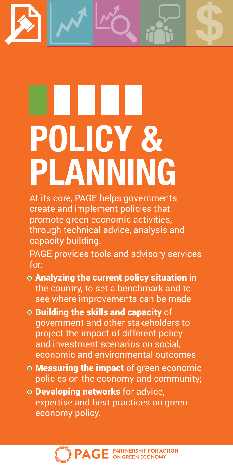# POLICY & PLANNING

At its core, PAGE helps governments create and implement policies that promote green economic activities, through technical advice, analysis and capacity building.

PAGE provides tools and advisory services for:

- $\circ$  Analyzing the current policy situation in the country, to set a benchmark and to see where improvements can be made
- o Building the skills and capacity of government and other stakeholders to project the impact of different policy and investment scenarios on social, economic and environmental outcomes
- o **Measuring the impact** of green economic policies on the economy and community;
- o **Developing networks** for advice, expertise and best practices on green economy policy.

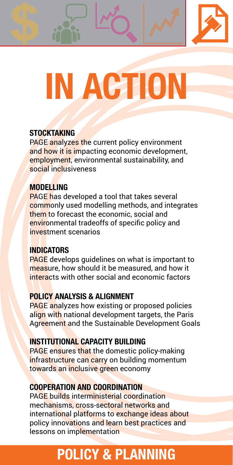### **STOCKTAKING**

PAGE analyzes the current policy environment and how it is impacting economic development, employment, environmental sustainability, and social inclusiveness

### **MODELLING**

PAGE has developed a tool that takes several commonly used modelling methods, and integrates them to forecast the economic, social and environmental tradeoffs of specific policy and investment scenarios

#### INDICATORS

PAGE develops quidelines on what is important to measure, how should it be measured, and how it interacts with other social and economic factors

### POLICY ANALYSIS & ALIGNMENT

PAGE analyzes how existing or proposed policies align with national development targets, the Paris Agreement and the Sustainable Development Goals

### INSTITUTIONAL CAPACITY BUILDING

PAGE ensures that the domestic policy-making infrastructure can carry on building momentum towards an inclusive green economy

### COOPERATION AND COORDINATION

PAGE builds interministerial coordination mechanisms, cross-sectoral networks and international platforms to exchange ideas about policy innovations and learn best practices and lessons on implementation

### POLICY & PLANNING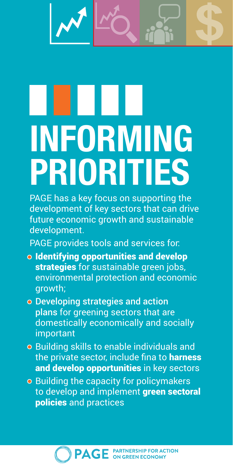# INFORMING PRIORITIES

PAGE has a key focus on supporting the development of key sectors that can drive future economic growth and sustainable development.

PAGE provides tools and services for:

- o Identifying opportunities and develop strategies for sustainable green jobs, environmental protection and economic growth;
- Developing strategies and action plans for greening sectors that are domestically economically and socially important
- Building skills to enable individuals and the private sector, include fina to harness and develop opportunities in key sectors
- o Building the capacity for policymakers to develop and implement green sectoral policies and practices

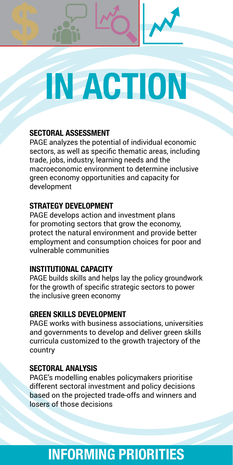### SECTORAL ASSESSMENT

PAGE analyzes the potential of individual economic sectors, as well as specific thematic areas, including trade, jobs, industry, learning needs and the macroeconomic environment to determine inclusive green economy opportunities and capacity for development

### STRATEGY DEVELOPMENT

PAGE develops action and investment plans for promoting sectors that grow the economy, protect the natural environment and provide better employment and consumption choices for poor and vulnerable communities

### INSTITUTIONAL CAPACITY

PAGE builds skills and helps lay the policy groundwork for the growth of specific strategic sectors to power the inclusive green economy

#### GREEN SKILLS DEVELOPMENT

PAGE works with business associations, universities and governments to develop and deliver green skills curricula customized to the growth trajectory of the country

#### SECTORAL ANALYSIS

PAGE's modelling enables policymakers prioritise different sectoral investment and policy decisions based on the projected trade-offs and winners and losers of those decisions

### INFORMING PRIORITIES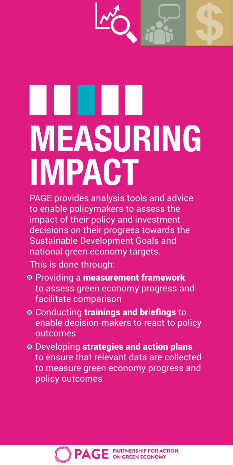## . . . . . MEASURING IMPACT

PAGE provides analysis tools and advice to enable policymakers to assess the impact of their policy and investment decisions on their progress towards the Sustainable Development Goals and national green economy targets.

This is done through:

- o Providing a measurement framework to assess green economy progress and facilitate comparison
- o Conducting trainings and briefings to enable decision-makers to react to policy outcomes
- o Developing strategies and action plans to ensure that relevant data are collected to measure green economy progress and policy outcomes

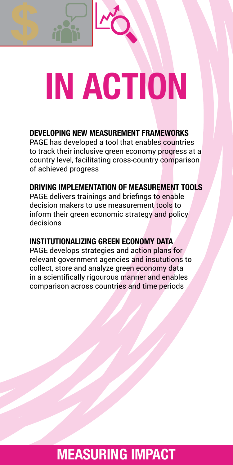-6.

### DEVELOPING NEW MEASUREMENT FRAMEWORKS

PAGE has developed a tool that enables countries to track their inclusive green economy progress at a country level, facilitating cross-country comparison of achieved progress

### DRIVING IMPLEMENTATION OF MEASUREMENT TOOLS

PAGE delivers trainings and briefings to enable decision makers to use measurement tools to inform their green economic strategy and policy decisions

### INSTITUTIONALIZING GREEN ECONOMY DATA

PAGE develops strategies and action plans for relevant government agencies and insututions to collect, store and analyze green economy data in a scientifically rigourous manner and enables comparison across countries and time periods

### MEASURING IMPACT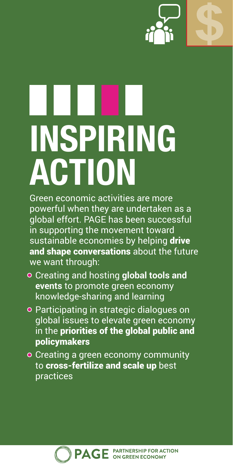

# INSPIRING **ACTION**

Green economic activities are more powerful when they are undertaken as a global effort. PAGE has been successful in supporting the movement toward sustainable economies by helping drive and shape conversations about the future we want through:

- Creating and hosting **global tools and events** to promote green economy knowledge-sharing and learning
- Participating in strategic dialogues on global issues to elevate green economy in the **priorities of the global public and** policymakers
- Creating a green economy community to cross-fertilize and scale up best practices

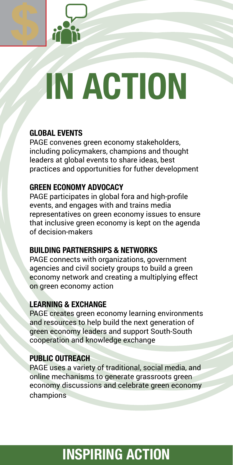### GLOBAL EVENTS

PAGE convenes green economy stakeholders, including policymakers, champions and thought leaders at global events to share ideas, best practices and opportunities for futher development

### GREEN ECONOMY ADVOCACY

PAGE participates in global fora and high-profile events, and engages with and trains media representatives on green economy issues to ensure that inclusive green economy is kept on the agenda of decision-makers

### BUILDING PARTNERSHIPS & NETWORKS

PAGE connects with organizations, government agencies and civil society groups to build a green economy network and creating a multiplying effect on green economy action

### LEARNING & EXCHANGE

PAGE creates green economy learning environments and resources to help build the next generation of green economy leaders and support South-South cooperation and knowledge exchange

### PUBLIC OUTREACH

PAGE uses a variety of traditional, social media, and online mechanisms to generate grassroots green economy discussions and celebrate green economy champions

### INSPIRING ACTION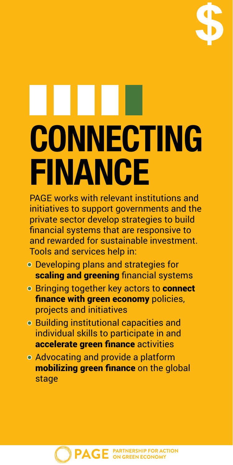

# CONNECTING FINANCE

PAGE works with relevant institutions and initiatives to support governments and the private sector develop strategies to build financial systems that are responsive to and rewarded for sustainable investment. Tools and services help in:

- Developing plans and strategies for scaling and greening financial systems
- o Bringing together key actors to connect finance with green economy policies, projects and initiatives
- Building institutional capacities and individual skills to participate in and accelerate green finance activities
- Advocating and provide a platform mobilizing green finance on the global stage